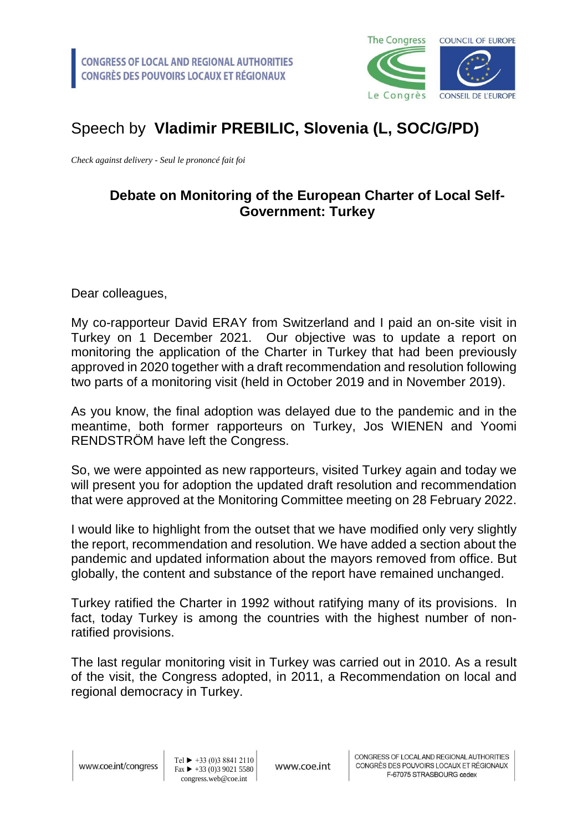

## Speech by **Vladimir PREBILIC, Slovenia (L, SOC/G/PD)**

*Check against delivery - Seul le prononcé fait foi*

## **Debate on Monitoring of the European Charter of Local Self-Government: Turkey**

Dear colleagues,

My co-rapporteur David ERAY from Switzerland and I paid an on-site visit in Turkey on 1 December 2021. Our objective was to update a report on monitoring the application of the Charter in Turkey that had been previously approved in 2020 together with a draft recommendation and resolution following two parts of a monitoring visit (held in October 2019 and in November 2019).

As you know, the final adoption was delayed due to the pandemic and in the meantime, both former rapporteurs on Turkey, Jos WIENEN and Yoomi RENDSTRÖM have left the Congress.

So, we were appointed as new rapporteurs, visited Turkey again and today we will present you for adoption the updated draft resolution and recommendation that were approved at the Monitoring Committee meeting on 28 February 2022.

I would like to highlight from the outset that we have modified only very slightly the report, recommendation and resolution. We have added a section about the pandemic and updated information about the mayors removed from office. But globally, the content and substance of the report have remained unchanged.

Turkey ratified the Charter in 1992 without ratifying many of its provisions. In fact, today Turkey is among the countries with the highest number of nonratified provisions.

The last regular monitoring visit in Turkey was carried out in 2010. As a result of the visit, the Congress adopted, in 2011, a Recommendation on local and regional democracy in Turkey.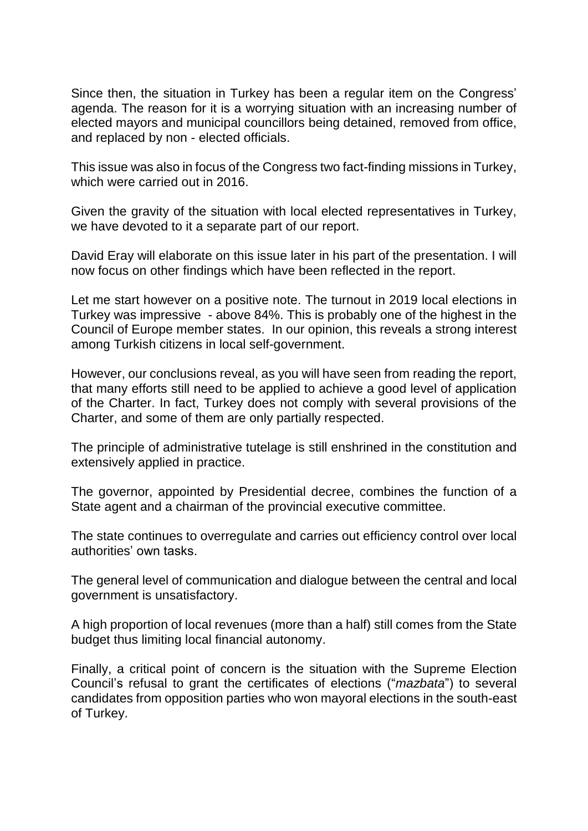Since then, the situation in Turkey has been a regular item on the Congress' agenda. The reason for it is a worrying situation with an increasing number of elected mayors and municipal councillors being detained, removed from office, and replaced by non - elected officials.

This issue was also in focus of the Congress two fact-finding missions in Turkey, which were carried out in 2016.

Given the gravity of the situation with local elected representatives in Turkey, we have devoted to it a separate part of our report.

David Eray will elaborate on this issue later in his part of the presentation. I will now focus on other findings which have been reflected in the report.

Let me start however on a positive note. The turnout in 2019 local elections in Turkey was impressive - above 84%. This is probably one of the highest in the Council of Europe member states. In our opinion, this reveals a strong interest among Turkish citizens in local self-government.

However, our conclusions reveal, as you will have seen from reading the report, that many efforts still need to be applied to achieve a good level of application of the Charter. In fact, Turkey does not comply with several provisions of the Charter, and some of them are only partially respected.

The principle of administrative tutelage is still enshrined in the constitution and extensively applied in practice.

The governor, appointed by Presidential decree, combines the function of a State agent and a chairman of the provincial executive committee.

The state continues to overregulate and carries out efficiency control over local authorities' own tasks.

The general level of communication and dialogue between the central and local government is unsatisfactory.

A high proportion of local revenues (more than a half) still comes from the State budget thus limiting local financial autonomy.

Finally, a critical point of concern is the situation with the Supreme Election Council's refusal to grant the certificates of elections ("*mazbata*") to several candidates from opposition parties who won mayoral elections in the south-east of Turkey.